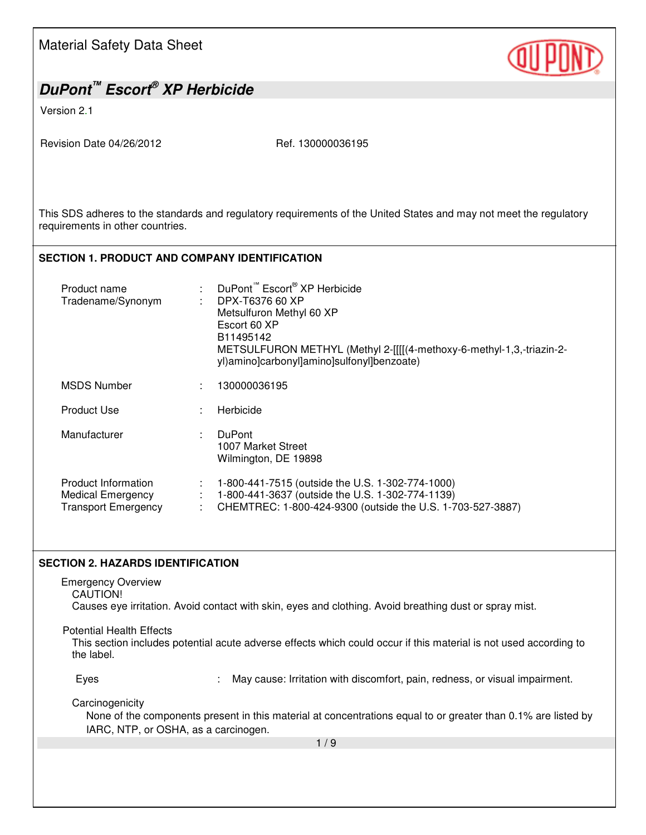| <b>Material Safety Data Sheet</b>                                                                                                                                  |                                                                                                                                                                                                                                                        |  |  |
|--------------------------------------------------------------------------------------------------------------------------------------------------------------------|--------------------------------------------------------------------------------------------------------------------------------------------------------------------------------------------------------------------------------------------------------|--|--|
| DuPont <sup>™</sup> Escort® XP Herbicide                                                                                                                           |                                                                                                                                                                                                                                                        |  |  |
| Version 2.1                                                                                                                                                        |                                                                                                                                                                                                                                                        |  |  |
| Revision Date 04/26/2012                                                                                                                                           | Ref. 130000036195                                                                                                                                                                                                                                      |  |  |
| requirements in other countries.                                                                                                                                   | This SDS adheres to the standards and regulatory requirements of the United States and may not meet the regulatory                                                                                                                                     |  |  |
| <b>SECTION 1. PRODUCT AND COMPANY IDENTIFICATION</b>                                                                                                               |                                                                                                                                                                                                                                                        |  |  |
| Product name<br>Tradename/Synonym                                                                                                                                  | DuPont <sup>™</sup> Escort <sup>®</sup> XP Herbicide<br>DPX-T6376 60 XP<br>Metsulfuron Methyl 60 XP<br>Escort 60 XP<br>B11495142<br>METSULFURON METHYL (Methyl 2-[[[[(4-methoxy-6-methyl-1,3,-triazin-2-<br>yl)amino]carbonyl]amino]sulfonyl]benzoate) |  |  |
| <b>MSDS Number</b>                                                                                                                                                 | 130000036195                                                                                                                                                                                                                                           |  |  |
| <b>Product Use</b>                                                                                                                                                 | Herbicide                                                                                                                                                                                                                                              |  |  |
| Manufacturer                                                                                                                                                       | <b>DuPont</b><br>1007 Market Street<br>Wilmington, DE 19898                                                                                                                                                                                            |  |  |
| <b>Product Information</b><br><b>Medical Emergency</b><br>Transport Emergency<br>÷                                                                                 | 1-800-441-7515 (outside the U.S. 1-302-774-1000)<br>1-800-441-3637 (outside the U.S. 1-302-774-1139)<br>CHEMTREC: 1-800-424-9300 (outside the U.S. 1-703-527-3887)                                                                                     |  |  |
| <b>SECTION 2. HAZARDS IDENTIFICATION</b>                                                                                                                           |                                                                                                                                                                                                                                                        |  |  |
| <b>Emergency Overview</b><br><b>CAUTION!</b><br>Causes eye irritation. Avoid contact with skin, eyes and clothing. Avoid breathing dust or spray mist.             |                                                                                                                                                                                                                                                        |  |  |
| <b>Potential Health Effects</b><br>This section includes potential acute adverse effects which could occur if this material is not used according to<br>the label. |                                                                                                                                                                                                                                                        |  |  |
| Eyes                                                                                                                                                               | May cause: Irritation with discomfort, pain, redness, or visual impairment.                                                                                                                                                                            |  |  |
| Carcinogenicity<br>IARC, NTP, or OSHA, as a carcinogen.                                                                                                            | None of the components present in this material at concentrations equal to or greater than 0.1% are listed by                                                                                                                                          |  |  |
| 1/9                                                                                                                                                                |                                                                                                                                                                                                                                                        |  |  |
|                                                                                                                                                                    |                                                                                                                                                                                                                                                        |  |  |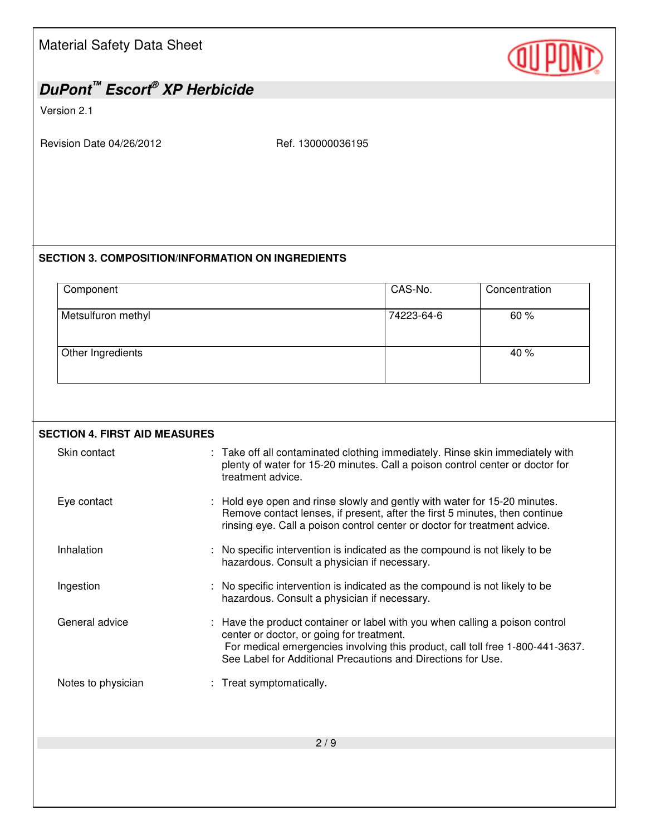# *DuPont™ Escort® XP Herbicide*

Version 2.1

Revision Date 04/26/2012 Ref. 130000036195

#### **SECTION 3. COMPOSITION/INFORMATION ON INGREDIENTS**

| Component          | CAS-No.    | Concentration |
|--------------------|------------|---------------|
| Metsulfuron methyl | 74223-64-6 | 60%           |
| Other Ingredients  |            | 40 %          |

| <b>SECTION 4. FIRST AID MEASURES</b> |                                                                                                                                                                                                                                                                             |  |  |  |
|--------------------------------------|-----------------------------------------------------------------------------------------------------------------------------------------------------------------------------------------------------------------------------------------------------------------------------|--|--|--|
| Skin contact                         | : Take off all contaminated clothing immediately. Rinse skin immediately with<br>plenty of water for 15-20 minutes. Call a poison control center or doctor for<br>treatment advice.                                                                                         |  |  |  |
| Eye contact                          | Hold eye open and rinse slowly and gently with water for 15-20 minutes.<br>Remove contact lenses, if present, after the first 5 minutes, then continue<br>rinsing eye. Call a poison control center or doctor for treatment advice.                                         |  |  |  |
| Inhalation                           | : No specific intervention is indicated as the compound is not likely to be<br>hazardous. Consult a physician if necessary.                                                                                                                                                 |  |  |  |
| Ingestion                            | : No specific intervention is indicated as the compound is not likely to be<br>hazardous. Consult a physician if necessary.                                                                                                                                                 |  |  |  |
| General advice                       | : Have the product container or label with you when calling a poison control<br>center or doctor, or going for treatment.<br>For medical emergencies involving this product, call toll free 1-800-441-3637.<br>See Label for Additional Precautions and Directions for Use. |  |  |  |
| Notes to physician                   | : Treat symptomatically.                                                                                                                                                                                                                                                    |  |  |  |
|                                      | 2/9                                                                                                                                                                                                                                                                         |  |  |  |
|                                      |                                                                                                                                                                                                                                                                             |  |  |  |

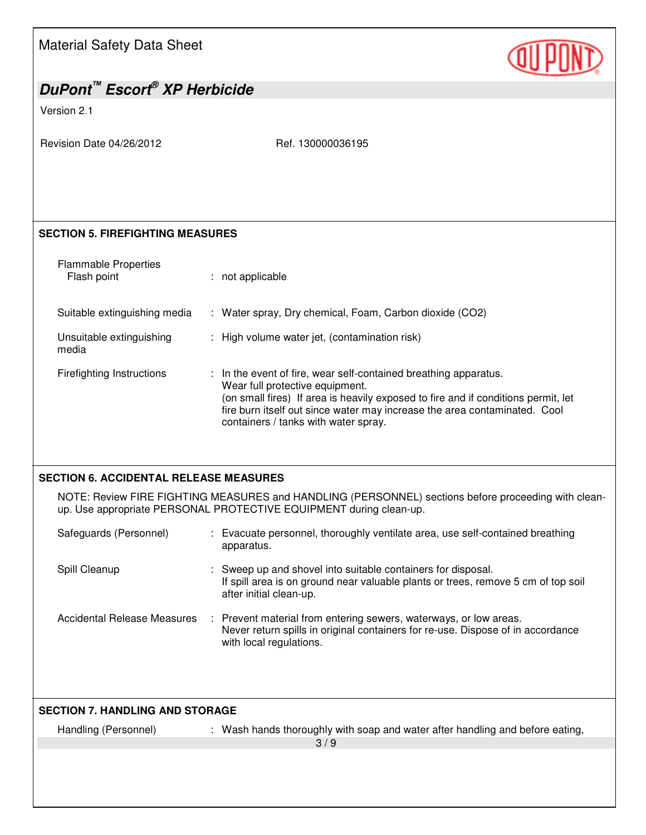| Material Safety Data Sheet                           |
|------------------------------------------------------|
| DuPont <sup>™</sup> Escort <sup>®</sup> XP Herbicide |



# Version 2.1 Revision Date 04/26/2012 Ref. 130000036195 **SECTION 5. FIREFIGHTING MEASURES**  Flammable Properties Flash point : not applicable

Suitable extinguishing media : Water spray, Dry chemical, Foam, Carbon dioxide (CO2)

Unsuitable extinguishing media : High volume water jet, (contamination risk)

Firefighting Instructions : In the event of fire, wear self-contained breathing apparatus. Wear full protective equipment. (on small fires) If area is heavily exposed to fire and if conditions permit, let fire burn itself out since water may increase the area contaminated. Cool containers / tanks with water spray.

### **SECTION 6. ACCIDENTAL RELEASE MEASURES**

NOTE: Review FIRE FIGHTING MEASURES and HANDLING (PERSONNEL) sections before proceeding with cleanup. Use appropriate PERSONAL PROTECTIVE EQUIPMENT during clean-up.

| Safeguards (Personnel)      | : Evacuate personnel, thoroughly ventilate area, use self-contained breathing<br>apparatus.                                                                                     |  |
|-----------------------------|---------------------------------------------------------------------------------------------------------------------------------------------------------------------------------|--|
| Spill Cleanup               | : Sweep up and shovel into suitable containers for disposal.<br>If spill area is on ground near valuable plants or trees, remove 5 cm of top soil<br>after initial clean-up.    |  |
| Accidental Release Measures | : Prevent material from entering sewers, waterways, or low areas.<br>Never return spills in original containers for re-use. Dispose of in accordance<br>with local regulations. |  |

| <b>SECTION 7. HANDLING AND STORAGE</b> |                                                                               |  |  |
|----------------------------------------|-------------------------------------------------------------------------------|--|--|
| Handling (Personnel)                   | : Wash hands thoroughly with soap and water after handling and before eating, |  |  |
|                                        | 3/9                                                                           |  |  |
|                                        |                                                                               |  |  |
|                                        |                                                                               |  |  |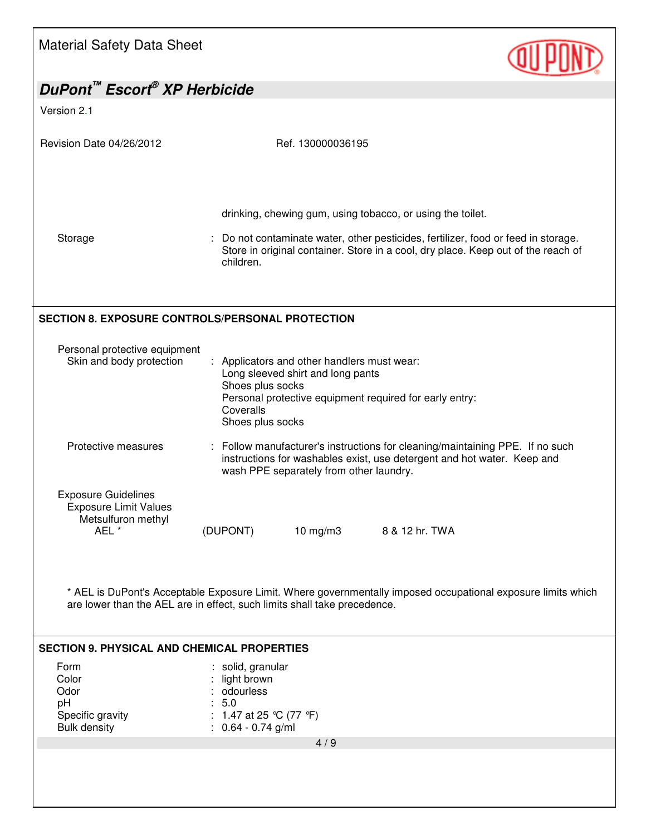| <b>Material Safety Data Sheet</b>                                                                                                                                                        |                                                                                                                                                                                                                                                    |  |  |
|------------------------------------------------------------------------------------------------------------------------------------------------------------------------------------------|----------------------------------------------------------------------------------------------------------------------------------------------------------------------------------------------------------------------------------------------------|--|--|
| DuPont <sup>™</sup> Escort <sup>®</sup> XP Herbicide                                                                                                                                     |                                                                                                                                                                                                                                                    |  |  |
| Version 2.1                                                                                                                                                                              |                                                                                                                                                                                                                                                    |  |  |
| Revision Date 04/26/2012                                                                                                                                                                 | Ref. 130000036195                                                                                                                                                                                                                                  |  |  |
| Storage                                                                                                                                                                                  | drinking, chewing gum, using tobacco, or using the toilet.<br>: Do not contaminate water, other pesticides, fertilizer, food or feed in storage.<br>Store in original container. Store in a cool, dry place. Keep out of the reach of<br>children. |  |  |
| <b>SECTION 8. EXPOSURE CONTROLS/PERSONAL PROTECTION</b>                                                                                                                                  |                                                                                                                                                                                                                                                    |  |  |
| Personal protective equipment<br>Skin and body protection                                                                                                                                | Applicators and other handlers must wear:<br>Long sleeved shirt and long pants<br>Shoes plus socks<br>Personal protective equipment required for early entry:<br>Coveralls<br>Shoes plus socks                                                     |  |  |
| Protective measures                                                                                                                                                                      | : Follow manufacturer's instructions for cleaning/maintaining PPE. If no such<br>instructions for washables exist, use detergent and hot water. Keep and<br>wash PPE separately from other laundry.                                                |  |  |
| <b>Exposure Guidelines</b><br><b>Exposure Limit Values</b><br>Metsulfuron methyl<br>AEL *                                                                                                | (DUPONT)<br>$10 \text{ mg/m}$ 3<br>8 & 12 hr. TWA                                                                                                                                                                                                  |  |  |
| * AEL is DuPont's Acceptable Exposure Limit. Where governmentally imposed occupational exposure limits which<br>are lower than the AEL are in effect, such limits shall take precedence. |                                                                                                                                                                                                                                                    |  |  |
| <b>SECTION 9. PHYSICAL AND CHEMICAL PROPERTIES</b>                                                                                                                                       |                                                                                                                                                                                                                                                    |  |  |
| Form<br>Color<br>Odor<br>pH<br>Specific gravity<br><b>Bulk density</b>                                                                                                                   | : solid, granular<br>light brown<br>odourless<br>: 5.0<br>: 1.47 at 25 °C (77 °F)<br>$: 0.64 - 0.74$ g/ml                                                                                                                                          |  |  |
|                                                                                                                                                                                          | 4/9                                                                                                                                                                                                                                                |  |  |
|                                                                                                                                                                                          |                                                                                                                                                                                                                                                    |  |  |

Г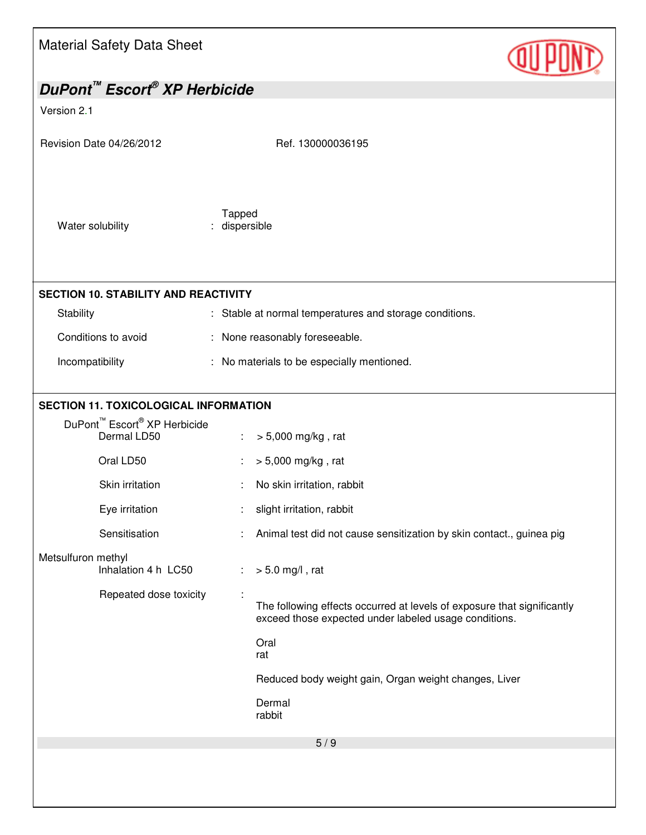| Material Safety Data Sheet |  |
|----------------------------|--|
|----------------------------|--|

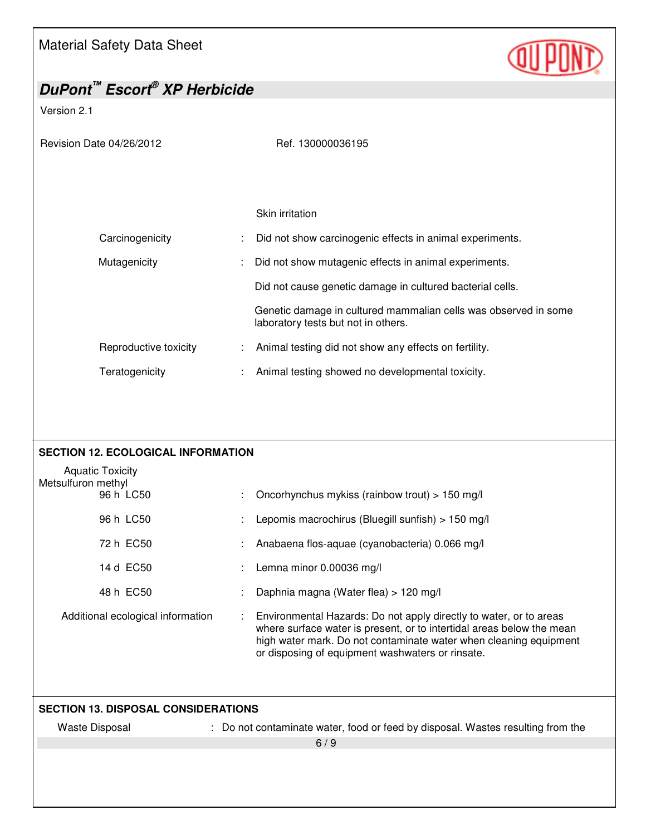![](_page_5_Picture_1.jpeg)

| DuPont <sup>™</sup> Escort® XP Herbicide                   |  |                                                                                                                                                                                                                                                                      |  |
|------------------------------------------------------------|--|----------------------------------------------------------------------------------------------------------------------------------------------------------------------------------------------------------------------------------------------------------------------|--|
| Version 2.1                                                |  |                                                                                                                                                                                                                                                                      |  |
| Revision Date 04/26/2012                                   |  | Ref. 130000036195                                                                                                                                                                                                                                                    |  |
|                                                            |  |                                                                                                                                                                                                                                                                      |  |
|                                                            |  | Skin irritation                                                                                                                                                                                                                                                      |  |
| Carcinogenicity                                            |  | Did not show carcinogenic effects in animal experiments.                                                                                                                                                                                                             |  |
| Mutagenicity                                               |  | Did not show mutagenic effects in animal experiments.                                                                                                                                                                                                                |  |
|                                                            |  | Did not cause genetic damage in cultured bacterial cells.                                                                                                                                                                                                            |  |
|                                                            |  | Genetic damage in cultured mammalian cells was observed in some<br>laboratory tests but not in others.                                                                                                                                                               |  |
| Reproductive toxicity                                      |  | Animal testing did not show any effects on fertility.                                                                                                                                                                                                                |  |
| Teratogenicity                                             |  | Animal testing showed no developmental toxicity.                                                                                                                                                                                                                     |  |
|                                                            |  |                                                                                                                                                                                                                                                                      |  |
| <b>SECTION 12. ECOLOGICAL INFORMATION</b>                  |  |                                                                                                                                                                                                                                                                      |  |
| <b>Aquatic Toxicity</b><br>Metsulfuron methyl<br>96 h LC50 |  | Oncorhynchus mykiss (rainbow trout) > 150 mg/l                                                                                                                                                                                                                       |  |
| 96 h LC50                                                  |  | Lepomis macrochirus (Bluegill sunfish) > 150 mg/l                                                                                                                                                                                                                    |  |
| 72 h EC50                                                  |  | Anabaena flos-aquae (cyanobacteria) 0.066 mg/l                                                                                                                                                                                                                       |  |
| 14 d EC50                                                  |  | Lemna minor 0.00036 mg/l                                                                                                                                                                                                                                             |  |
| 48 h EC50                                                  |  | Daphnia magna (Water flea) > 120 mg/l                                                                                                                                                                                                                                |  |
| Additional ecological information                          |  | Environmental Hazards: Do not apply directly to water, or to areas<br>where surface water is present, or to intertidal areas below the mean<br>high water mark. Do not contaminate water when cleaning equipment<br>or disposing of equipment washwaters or rinsate. |  |
|                                                            |  |                                                                                                                                                                                                                                                                      |  |
| <b>SECTION 13. DISPOSAL CONSIDERATIONS</b>                 |  |                                                                                                                                                                                                                                                                      |  |
| <b>Waste Disposal</b>                                      |  | : Do not contaminate water, food or feed by disposal. Wastes resulting from the<br>6/9                                                                                                                                                                               |  |
|                                                            |  |                                                                                                                                                                                                                                                                      |  |
|                                                            |  |                                                                                                                                                                                                                                                                      |  |
|                                                            |  |                                                                                                                                                                                                                                                                      |  |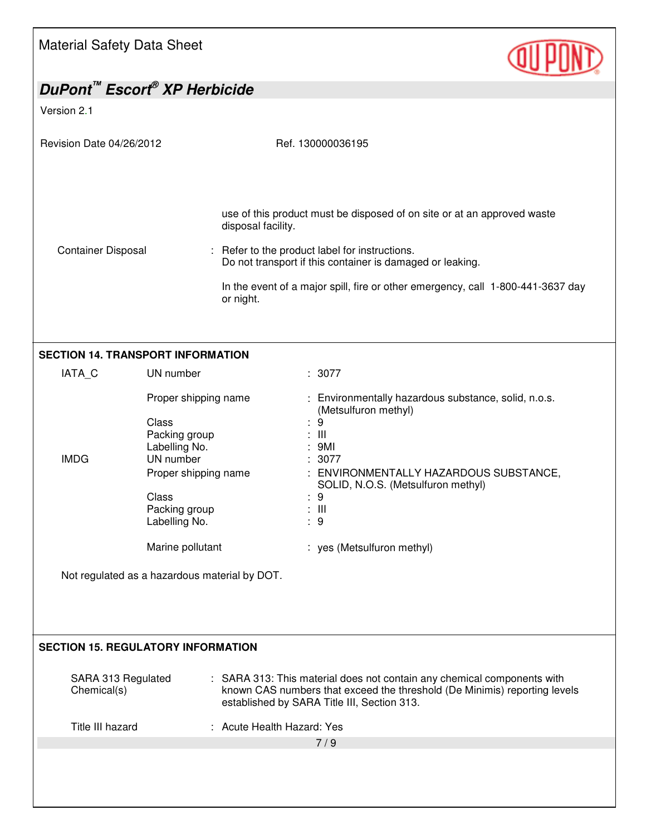![](_page_6_Picture_1.jpeg)

|                                   | DuPont <sup>™</sup> Escort <sup>®</sup> XP Herbicide                                                                                            |                                                                                                                                                                                                                                                                                                              |
|-----------------------------------|-------------------------------------------------------------------------------------------------------------------------------------------------|--------------------------------------------------------------------------------------------------------------------------------------------------------------------------------------------------------------------------------------------------------------------------------------------------------------|
| Version 2.1                       |                                                                                                                                                 |                                                                                                                                                                                                                                                                                                              |
| Revision Date 04/26/2012          |                                                                                                                                                 | Ref. 130000036195                                                                                                                                                                                                                                                                                            |
| <b>Container Disposal</b>         |                                                                                                                                                 | use of this product must be disposed of on site or at an approved waste<br>disposal facility.<br>: Refer to the product label for instructions.<br>Do not transport if this container is damaged or leaking.<br>In the event of a major spill, fire or other emergency, call 1-800-441-3637 day<br>or night. |
|                                   | <b>SECTION 14. TRANSPORT INFORMATION</b>                                                                                                        |                                                                                                                                                                                                                                                                                                              |
| IATA_C                            | UN number                                                                                                                                       | : 3077                                                                                                                                                                                                                                                                                                       |
| <b>IMDG</b>                       | Proper shipping name<br>Class<br>Packing group<br>Labelling No.<br>UN number<br>Proper shipping name<br>Class<br>Packing group<br>Labelling No. | : Environmentally hazardous substance, solid, n.o.s.<br>(Metsulfuron methyl)<br>: 9<br>$\therefore$ III<br>: 9Ml<br>: 3077<br>: ENVIRONMENTALLY HAZARDOUS SUBSTANCE,<br>SOLID, N.O.S. (Metsulfuron methyl)<br>: 9<br>$\therefore$ $\parallel$<br>: 9                                                         |
|                                   | Marine pollutant                                                                                                                                | : yes (Metsulfuron methyl)                                                                                                                                                                                                                                                                                   |
|                                   | Not regulated as a hazardous material by DOT.                                                                                                   |                                                                                                                                                                                                                                                                                                              |
|                                   | <b>SECTION 15. REGULATORY INFORMATION</b>                                                                                                       |                                                                                                                                                                                                                                                                                                              |
| SARA 313 Regulated<br>Chemical(s) |                                                                                                                                                 | : SARA 313: This material does not contain any chemical components with<br>known CAS numbers that exceed the threshold (De Minimis) reporting levels<br>established by SARA Title III, Section 313.                                                                                                          |
| Title III hazard                  |                                                                                                                                                 | : Acute Health Hazard: Yes                                                                                                                                                                                                                                                                                   |
|                                   |                                                                                                                                                 | 7/9                                                                                                                                                                                                                                                                                                          |
|                                   |                                                                                                                                                 |                                                                                                                                                                                                                                                                                                              |
|                                   |                                                                                                                                                 |                                                                                                                                                                                                                                                                                                              |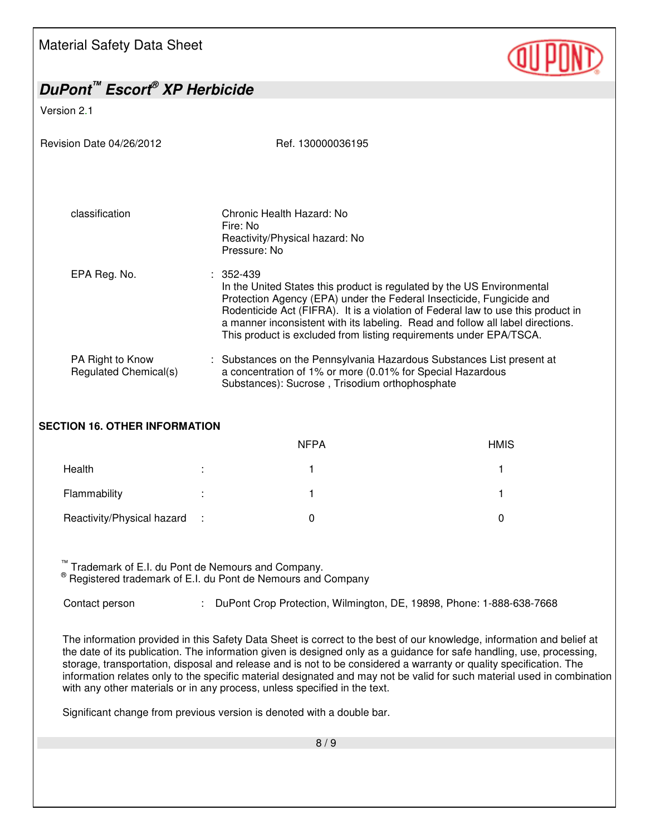![](_page_7_Picture_1.jpeg)

| DuPont <sup>™</sup> Escort® XP Herbicide  |                                                                                                                                                                                                                                       |                                                                                                                                                                    |  |
|-------------------------------------------|---------------------------------------------------------------------------------------------------------------------------------------------------------------------------------------------------------------------------------------|--------------------------------------------------------------------------------------------------------------------------------------------------------------------|--|
| Version 2.1                               |                                                                                                                                                                                                                                       |                                                                                                                                                                    |  |
| Revision Date 04/26/2012                  | Ref. 130000036195                                                                                                                                                                                                                     |                                                                                                                                                                    |  |
| classification                            | Chronic Health Hazard: No<br>Fire: No<br>Reactivity/Physical hazard: No<br>Pressure: No                                                                                                                                               |                                                                                                                                                                    |  |
| EPA Reg. No.                              | $: 352 - 439$<br>In the United States this product is regulated by the US Environmental<br>Protection Agency (EPA) under the Federal Insecticide, Fungicide and<br>This product is excluded from listing requirements under EPA/TSCA. | Rodenticide Act (FIFRA). It is a violation of Federal law to use this product in<br>a manner inconsistent with its labeling. Read and follow all label directions. |  |
| PA Right to Know<br>Regulated Chemical(s) | : Substances on the Pennsylvania Hazardous Substances List present at<br>a concentration of 1% or more (0.01% for Special Hazardous<br>Substances): Sucrose, Trisodium orthophosphate                                                 |                                                                                                                                                                    |  |
| <b>SECTION 16. OTHER INFORMATION</b>      |                                                                                                                                                                                                                                       |                                                                                                                                                                    |  |
|                                           | <b>NFPA</b>                                                                                                                                                                                                                           | <b>HMIS</b>                                                                                                                                                        |  |
| Health                                    |                                                                                                                                                                                                                                       | 1                                                                                                                                                                  |  |

Flammability : 1 1 Reactivity/Physical hazard : 0 0

™ Trademark of E.I. du Pont de Nemours and Company. ® Registered trademark of E.I. du Pont de Nemours and Company

Contact person : DuPont Crop Protection, Wilmington, DE, 19898, Phone: 1-888-638-7668

The information provided in this Safety Data Sheet is correct to the best of our knowledge, information and belief at the date of its publication. The information given is designed only as a guidance for safe handling, use, processing, storage, transportation, disposal and release and is not to be considered a warranty or quality specification. The information relates only to the specific material designated and may not be valid for such material used in combination with any other materials or in any process, unless specified in the text.

Significant change from previous version is denoted with a double bar.